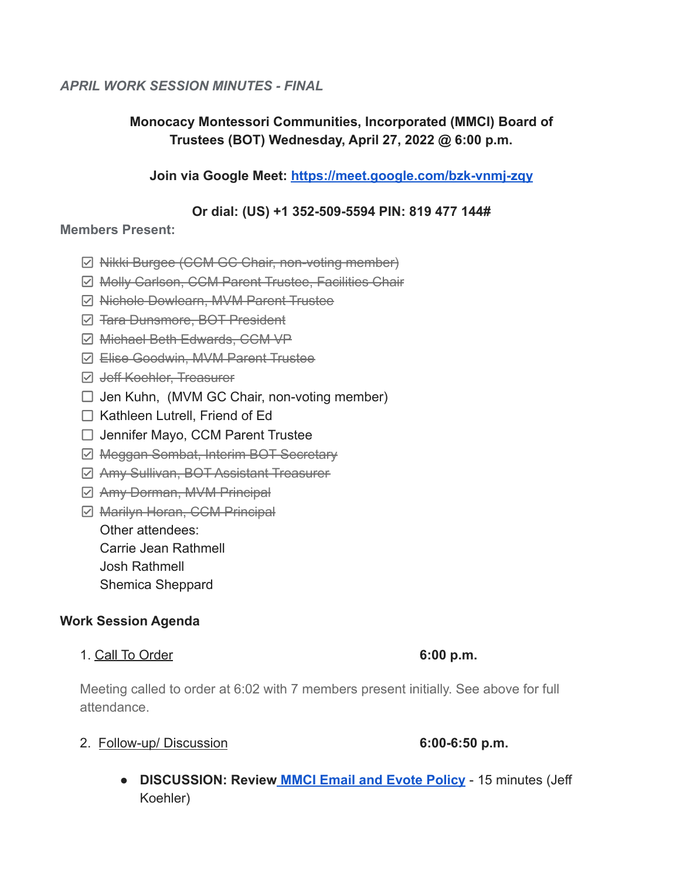### *APRIL WORK SESSION MINUTES - FINAL*

# **Monocacy Montessori Communities, Incorporated (MMCI) Board of Trustees (BOT) Wednesday, April 27, 2022 @ 6:00 p.m.**

## **Join via Google Meet: <https://meet.google.com/bzk-vnmj-zqy>**

#### **Or dial: (US) +1 352-509-5594 PIN: 819 477 144#**

#### **Members Present:**

- $\boxtimes$  **Nikki Burgee (CCM GC Chair, non-voting member)**
- **Ø Molly Carlson, CCM Parent Trustee, Facilities Chair**
- **Ø Nichole Dowlearn, MVM Parent Trustee**
- $\boxdot$  **<del>Tara Dunsmore, BOT President</del>**
- Michael Beth Edwards, CCM VP
- Elise Goodwin, MVM Parent Trustee
- **Ø Jeff Koehler, Treasurer**
- $\Box$  Jen Kuhn, (MVM GC Chair, non-voting member)
- $\Box$  Kathleen Lutrell, Friend of Ed
- $\Box$  Jennifer Mayo, CCM Parent Trustee
- **Ø Meggan Sombat, Interim BOT Secretary**
- Amy Sullivan, BOT Assistant Treasurer
- **Ø Amy Dorman, MVM Principal**
- **Ø Marilyn Horan, CCM Principal**

Other attendees:

Carrie Jean Rathmell

Josh Rathmell

Shemica Sheppard

### **Work Session Agenda**

1. Call To Order **6:00 p.m.**

Meeting called to order at 6:02 with 7 members present initially. See above for full attendance.

# 2. Follow-up/ Discussion **6:00-6:50 p.m.**

**● DISCUSSION: Review [MMCI Email and Evote Policy](https://docs.google.com/document/d/1LIVignlG_UbmcQ_YisKHlhYXe5S8rG8Z/edit?usp=sharing&ouid=112286663168399488725&rtpof=true&sd=true)** - 15 minutes (Jeff Koehler)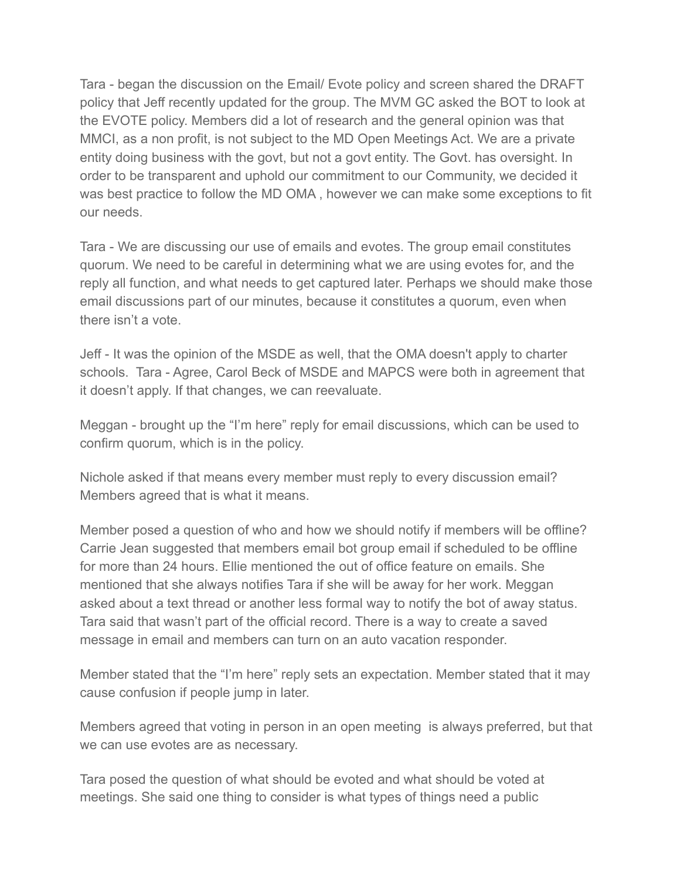Tara - began the discussion on the Email/ Evote policy and screen shared the DRAFT policy that Jeff recently updated for the group. The MVM GC asked the BOT to look at the EVOTE policy. Members did a lot of research and the general opinion was that MMCI, as a non profit, is not subject to the MD Open Meetings Act. We are a private entity doing business with the govt, but not a govt entity. The Govt. has oversight. In order to be transparent and uphold our commitment to our Community, we decided it was best practice to follow the MD OMA , however we can make some exceptions to fit our needs.

Tara - We are discussing our use of emails and evotes. The group email constitutes quorum. We need to be careful in determining what we are using evotes for, and the reply all function, and what needs to get captured later. Perhaps we should make those email discussions part of our minutes, because it constitutes a quorum, even when there isn't a vote.

Jeff - It was the opinion of the MSDE as well, that the OMA doesn't apply to charter schools. Tara - Agree, Carol Beck of MSDE and MAPCS were both in agreement that it doesn't apply. If that changes, we can reevaluate.

Meggan - brought up the "I'm here" reply for email discussions, which can be used to confirm quorum, which is in the policy.

Nichole asked if that means every member must reply to every discussion email? Members agreed that is what it means.

Member posed a question of who and how we should notify if members will be offline? Carrie Jean suggested that members email bot group email if scheduled to be offline for more than 24 hours. Ellie mentioned the out of office feature on emails. She mentioned that she always notifies Tara if she will be away for her work. Meggan asked about a text thread or another less formal way to notify the bot of away status. Tara said that wasn't part of the official record. There is a way to create a saved message in email and members can turn on an auto vacation responder.

Member stated that the "I'm here" reply sets an expectation. Member stated that it may cause confusion if people jump in later.

Members agreed that voting in person in an open meeting is always preferred, but that we can use evotes are as necessary.

Tara posed the question of what should be evoted and what should be voted at meetings. She said one thing to consider is what types of things need a public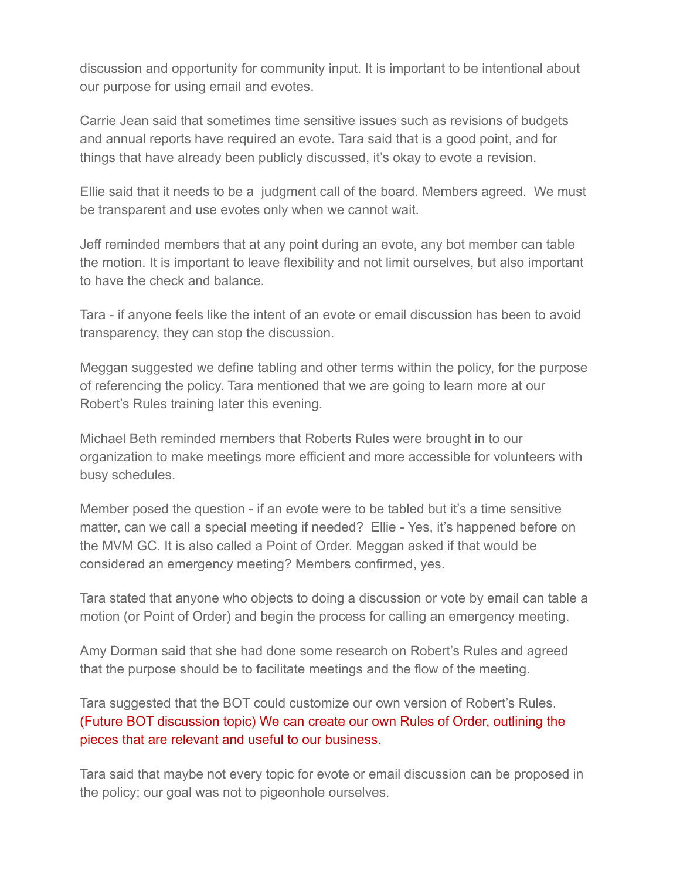discussion and opportunity for community input. It is important to be intentional about our purpose for using email and evotes.

Carrie Jean said that sometimes time sensitive issues such as revisions of budgets and annual reports have required an evote. Tara said that is a good point, and for things that have already been publicly discussed, it's okay to evote a revision.

Ellie said that it needs to be a judgment call of the board. Members agreed. We must be transparent and use evotes only when we cannot wait.

Jeff reminded members that at any point during an evote, any bot member can table the motion. It is important to leave flexibility and not limit ourselves, but also important to have the check and balance.

Tara - if anyone feels like the intent of an evote or email discussion has been to avoid transparency, they can stop the discussion.

Meggan suggested we define tabling and other terms within the policy, for the purpose of referencing the policy. Tara mentioned that we are going to learn more at our Robert's Rules training later this evening.

Michael Beth reminded members that Roberts Rules were brought in to our organization to make meetings more efficient and more accessible for volunteers with busy schedules.

Member posed the question - if an evote were to be tabled but it's a time sensitive matter, can we call a special meeting if needed? Ellie - Yes, it's happened before on the MVM GC. It is also called a Point of Order. Meggan asked if that would be considered an emergency meeting? Members confirmed, yes.

Tara stated that anyone who objects to doing a discussion or vote by email can table a motion (or Point of Order) and begin the process for calling an emergency meeting.

Amy Dorman said that she had done some research on Robert's Rules and agreed that the purpose should be to facilitate meetings and the flow of the meeting.

Tara suggested that the BOT could customize our own version of Robert's Rules. (Future BOT discussion topic) We can create our own Rules of Order, outlining the pieces that are relevant and useful to our business.

Tara said that maybe not every topic for evote or email discussion can be proposed in the policy; our goal was not to pigeonhole ourselves.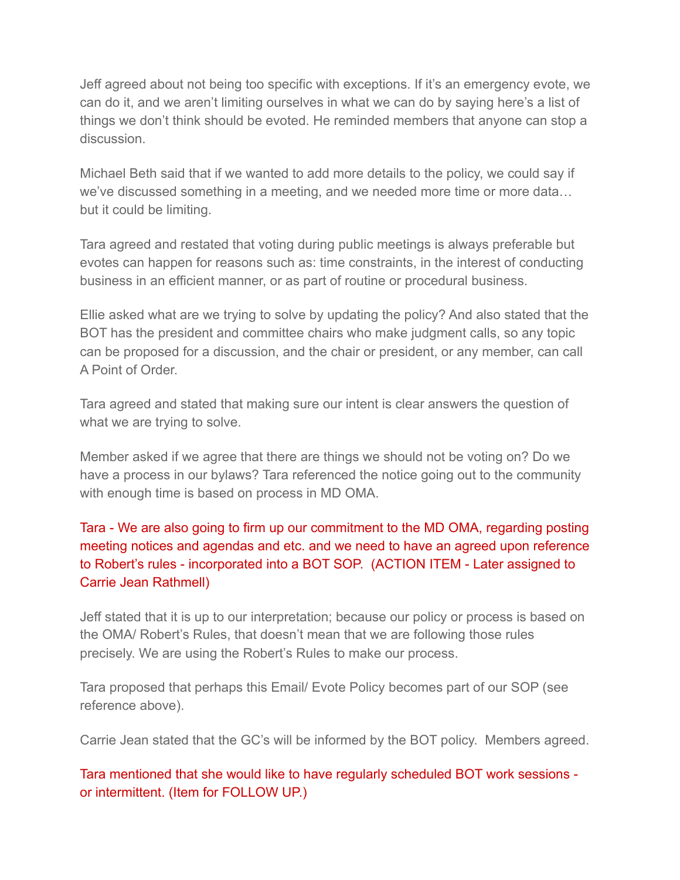Jeff agreed about not being too specific with exceptions. If it's an emergency evote, we can do it, and we aren't limiting ourselves in what we can do by saying here's a list of things we don't think should be evoted. He reminded members that anyone can stop a discussion.

Michael Beth said that if we wanted to add more details to the policy, we could say if we've discussed something in a meeting, and we needed more time or more data… but it could be limiting.

Tara agreed and restated that voting during public meetings is always preferable but evotes can happen for reasons such as: time constraints, in the interest of conducting business in an efficient manner, or as part of routine or procedural business.

Ellie asked what are we trying to solve by updating the policy? And also stated that the BOT has the president and committee chairs who make judgment calls, so any topic can be proposed for a discussion, and the chair or president, or any member, can call A Point of Order.

Tara agreed and stated that making sure our intent is clear answers the question of what we are trying to solve.

Member asked if we agree that there are things we should not be voting on? Do we have a process in our bylaws? Tara referenced the notice going out to the community with enough time is based on process in MD OMA.

# Tara - We are also going to firm up our commitment to the MD OMA, regarding posting meeting notices and agendas and etc. and we need to have an agreed upon reference to Robert's rules - incorporated into a BOT SOP. (ACTION ITEM - Later assigned to Carrie Jean Rathmell)

Jeff stated that it is up to our interpretation; because our policy or process is based on the OMA/ Robert's Rules, that doesn't mean that we are following those rules precisely. We are using the Robert's Rules to make our process.

Tara proposed that perhaps this Email/ Evote Policy becomes part of our SOP (see reference above).

Carrie Jean stated that the GC's will be informed by the BOT policy. Members agreed.

Tara mentioned that she would like to have regularly scheduled BOT work sessions or intermittent. (Item for FOLLOW UP.)